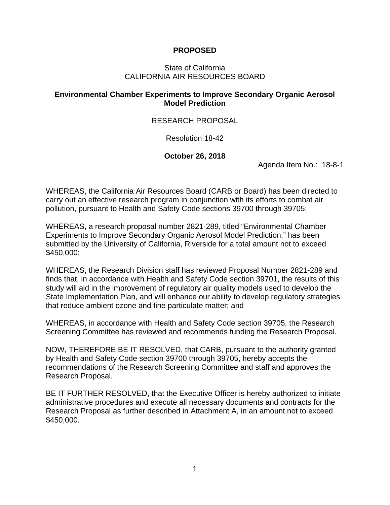## **PROPOSED**

### State of California CALIFORNIA AIR RESOURCES BOARD

## **Environmental Chamber Experiments to Improve Secondary Organic Aerosol Model Prediction**

## RESEARCH PROPOSAL

Resolution 18-42

### **October 26, 2018**

Agenda Item No.: 18-8-1

WHEREAS, the California Air Resources Board (CARB or Board) has been directed to carry out an effective research program in conjunction with its efforts to combat air pollution, pursuant to Health and Safety Code sections 39700 through 39705;

WHEREAS, a research proposal number 2821-289, titled "Environmental Chamber Experiments to Improve Secondary Organic Aerosol Model Prediction," has been submitted by the University of California, Riverside for a total amount not to exceed \$450,000;

WHEREAS, the Research Division staff has reviewed Proposal Number 2821-289 and finds that, in accordance with Health and Safety Code section 39701, the results of this study will aid in the improvement of regulatory air quality models used to develop the State Implementation Plan, and will enhance our ability to develop regulatory strategies that reduce ambient ozone and fine particulate matter; and

WHEREAS, in accordance with Health and Safety Code section 39705, the Research Screening Committee has reviewed and recommends funding the Research Proposal.

NOW, THEREFORE BE IT RESOLVED, that CARB, pursuant to the authority granted by Health and Safety Code section 39700 through 39705, hereby accepts the recommendations of the Research Screening Committee and staff and approves the Research Proposal.

BE IT FURTHER RESOLVED, that the Executive Officer is hereby authorized to initiate administrative procedures and execute all necessary documents and contracts for the Research Proposal as further described in Attachment A, in an amount not to exceed \$450,000.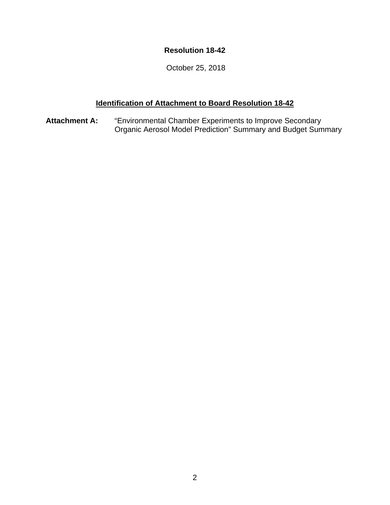## **Resolution 18-42**

October 25, 2018

## **Identification of Attachment to Board Resolution 18-42**

**Attachment A:** "Environmental Chamber Experiments to Improve Secondary Organic Aerosol Model Prediction" Summary and Budget Summary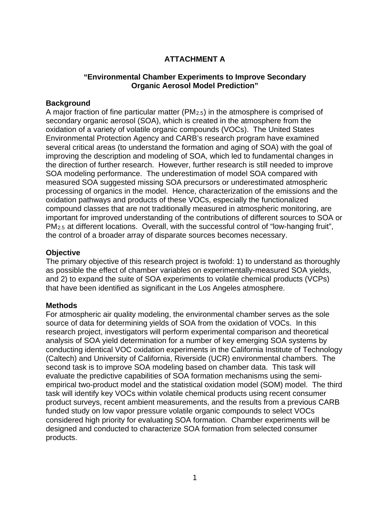## **ATTACHMENT A**

## **"Environmental Chamber Experiments to Improve Secondary Organic Aerosol Model Prediction"**

### **Background**

A major fraction of fine particular matter ( $PM<sub>2.5</sub>$ ) in the atmosphere is comprised of secondary organic aerosol (SOA), which is created in the atmosphere from the oxidation of a variety of volatile organic compounds (VOCs). The United States Environmental Protection Agency and CARB's research program have examined several critical areas (to understand the formation and aging of SOA) with the goal of improving the description and modeling of SOA, which led to fundamental changes in the direction of further research. However, further research is still needed to improve SOA modeling performance. The underestimation of model SOA compared with measured SOA suggested missing SOA precursors or underestimated atmospheric processing of organics in the model. Hence, characterization of the emissions and the oxidation pathways and products of these VOCs, especially the functionalized compound classes that are not traditionally measured in atmospheric monitoring, are important for improved understanding of the contributions of different sources to SOA or PM2.5 at different locations. Overall, with the successful control of "low-hanging fruit", the control of a broader array of disparate sources becomes necessary.

### **Objective**

The primary objective of this research project is twofold: 1) to understand as thoroughly as possible the effect of chamber variables on experimentally-measured SOA yields, and 2) to expand the suite of SOA experiments to volatile chemical products (VCPs) that have been identified as significant in the Los Angeles atmosphere.

### **Methods**

For atmospheric air quality modeling, the environmental chamber serves as the sole source of data for determining yields of SOA from the oxidation of VOCs. In this research project, investigators will perform experimental comparison and theoretical analysis of SOA yield determination for a number of key emerging SOA systems by conducting identical VOC oxidation experiments in the California Institute of Technology (Caltech) and University of California, Riverside (UCR) environmental chambers. The second task is to improve SOA modeling based on chamber data. This task will evaluate the predictive capabilities of SOA formation mechanisms using the semiempirical two-product model and the statistical oxidation model (SOM) model. The third task will identify key VOCs within volatile chemical products using recent consumer product surveys, recent ambient measurements, and the results from a previous CARB funded study on low vapor pressure volatile organic compounds to select VOCs considered high priority for evaluating SOA formation. Chamber experiments will be designed and conducted to characterize SOA formation from selected consumer products.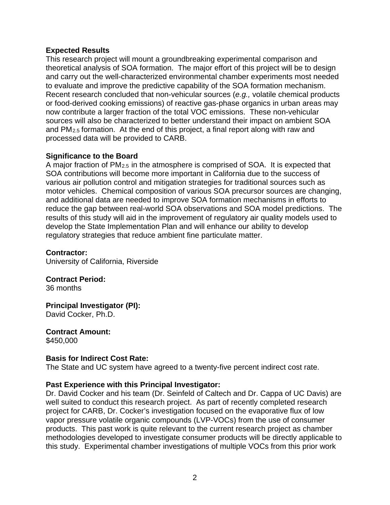### **Expected Results**

This research project will mount a groundbreaking experimental comparison and theoretical analysis of SOA formation. The major effort of this project will be to design and carry out the well-characterized environmental chamber experiments most needed to evaluate and improve the predictive capability of the SOA formation mechanism. Recent research concluded that non-vehicular sources (*e.g.,* volatile chemical products or food-derived cooking emissions) of reactive gas-phase organics in urban areas may now contribute a larger fraction of the total VOC emissions. These non-vehicular sources will also be characterized to better understand their impact on ambient SOA and PM2.5 formation. At the end of this project, a final report along with raw and processed data will be provided to CARB.

## **Significance to the Board**

A major fraction of PM2.5 in the atmosphere is comprised of SOA. It is expected that SOA contributions will become more important in California due to the success of various air pollution control and mitigation strategies for traditional sources such as motor vehicles. Chemical composition of various SOA precursor sources are changing, and additional data are needed to improve SOA formation mechanisms in efforts to reduce the gap between real-world SOA observations and SOA model predictions. The results of this study will aid in the improvement of regulatory air quality models used to develop the State Implementation Plan and will enhance our ability to develop regulatory strategies that reduce ambient fine particulate matter.

### **Contractor:**

University of California, Riverside

# **Contract Period:**

36 months

### **Principal Investigator (PI):** David Cocker, Ph.D.

**Contract Amount:** \$450,000

### **Basis for Indirect Cost Rate:**

The State and UC system have agreed to a twenty-five percent indirect cost rate.

## **Past Experience with this Principal Investigator:**

Dr. David Cocker and his team (Dr. Seinfeld of Caltech and Dr. Cappa of UC Davis) are well suited to conduct this research project. As part of recently completed research project for CARB, Dr. Cocker's investigation focused on the evaporative flux of low vapor pressure volatile organic compounds (LVP-VOCs) from the use of consumer products. This past work is quite relevant to the current research project as chamber methodologies developed to investigate consumer products will be directly applicable to this study. Experimental chamber investigations of multiple VOCs from this prior work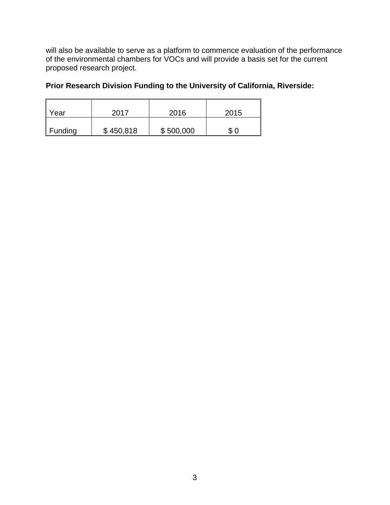will also be available to serve as a platform to commence evaluation of the performance of the environmental chambers for VOCs and will provide a basis set for the current proposed research project.

## **Prior Research Division Funding to the University of California, Riverside:**

| Year    | 2017      | 2016      | 2015 |
|---------|-----------|-----------|------|
| Funding | \$450,818 | \$500,000 | \$0  |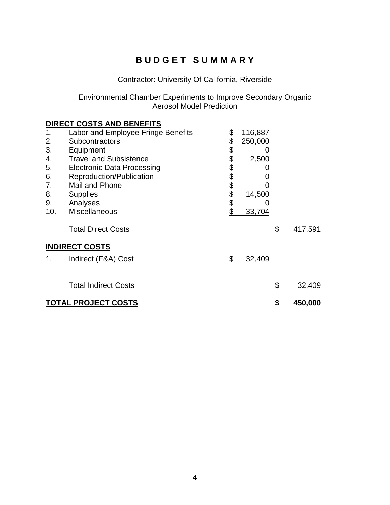# **B U D G E T S U M M A R Y**

# Contractor: University Of California, Riverside

### Environmental Chamber Experiments to Improve Secondary Organic Aerosol Model Prediction

|                            | <b>DIRECT COSTS AND BENEFITS</b>   |        |          |               |
|----------------------------|------------------------------------|--------|----------|---------------|
| 1.                         | Labor and Employee Fringe Benefits | \$     | 116,887  |               |
| 2.                         | Subcontractors                     | \$     | 250,000  |               |
| 3.                         | Equipment                          | \$     | $\Omega$ |               |
| 4.                         | <b>Travel and Subsistence</b>      |        | 2,500    |               |
| 5.                         | <b>Electronic Data Processing</b>  |        |          |               |
| 6.                         | Reproduction/Publication           | 888888 |          |               |
| 7.                         | Mail and Phone                     |        |          |               |
| 8.                         | <b>Supplies</b>                    |        | 14,500   |               |
| 9.                         | Analyses                           |        |          |               |
| 10.                        | <b>Miscellaneous</b>               |        | 33,704   |               |
|                            | <b>Total Direct Costs</b>          |        |          | \$<br>417,591 |
|                            | <b>INDIRECT COSTS</b>              |        |          |               |
| 1.                         | Indirect (F&A) Cost                | \$     | 32,409   |               |
|                            | <b>Total Indirect Costs</b>        |        |          | \$<br>32,409  |
| <b>TOTAL PROJECT COSTS</b> |                                    |        |          | 450,000       |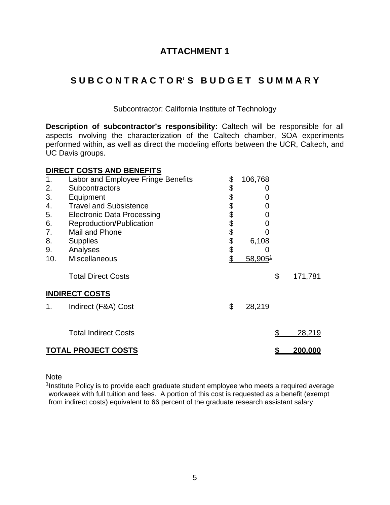## **ATTACHMENT 1**

# **S U B C O N T R A C T O R' S B U D G E T S U M M A R Y**

Subcontractor: California Institute of Technology

**Description of subcontractor's responsibility:** Caltech will be responsible for all aspects involving the characterization of the Caltech chamber, SOA experiments performed within, as well as direct the modeling efforts between the UCR, Caltech, and UC Davis groups.

## **DIRECT COSTS AND BENEFITS**

| 1.  | Labor and Employee Fringe Benefits | \$     | 106,768 |               |
|-----|------------------------------------|--------|---------|---------------|
| 2.  | <b>Subcontractors</b>              | \$     | O       |               |
| 3.  | Equipment                          | \$     |         |               |
| 4.  | <b>Travel and Subsistence</b>      | \$     | 0       |               |
| 5.  | <b>Electronic Data Processing</b>  |        | O)      |               |
| 6.  | Reproduction/Publication           | \$     |         |               |
| 7.  | Mail and Phone                     |        |         |               |
| 8.  | <b>Supplies</b>                    | \$\$\$ | 6,108   |               |
| 9.  | Analyses                           |        |         |               |
| 10. | Miscellaneous                      | \$     | 58,9051 |               |
|     | <b>Total Direct Costs</b>          |        |         | \$<br>171,781 |
|     | <b>INDIRECT COSTS</b>              |        |         |               |
| 1.  | Indirect (F&A) Cost                | \$     | 28,219  |               |
|     | <b>Total Indirect Costs</b>        |        |         | \$<br>28,219  |
|     | <b>TOTAL PROJECT COSTS</b>         |        |         | 200.000       |

**Note** 

 $1$ Institute Policy is to provide each graduate student employee who meets a required average workweek with full tuition and fees. A portion of this cost is requested as a benefit (exempt from indirect costs) equivalent to 66 percent of the graduate research assistant salary.